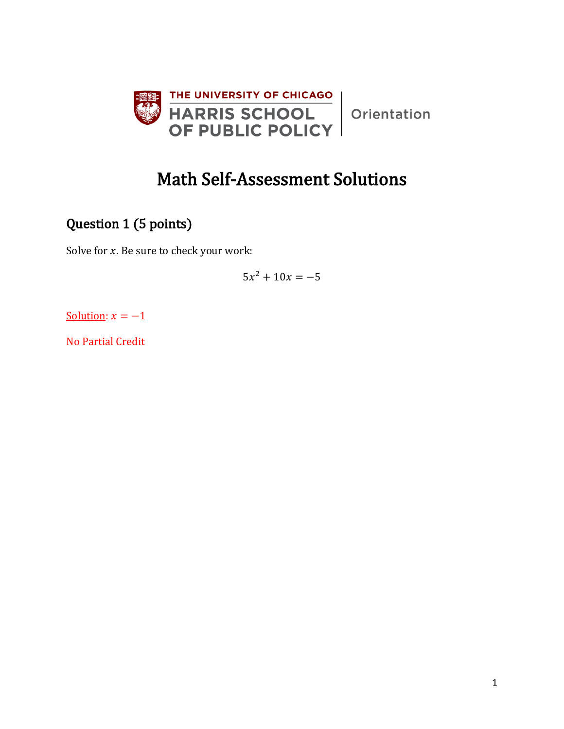

Orientation

# Math Self-Assessment Solutions

# Question 1 (5 points)

Solve for  $x$ . Be sure to check your work:

 $5x^2 + 10x = -5$ 

Solution:  $x = -1$ 

No Partial Credit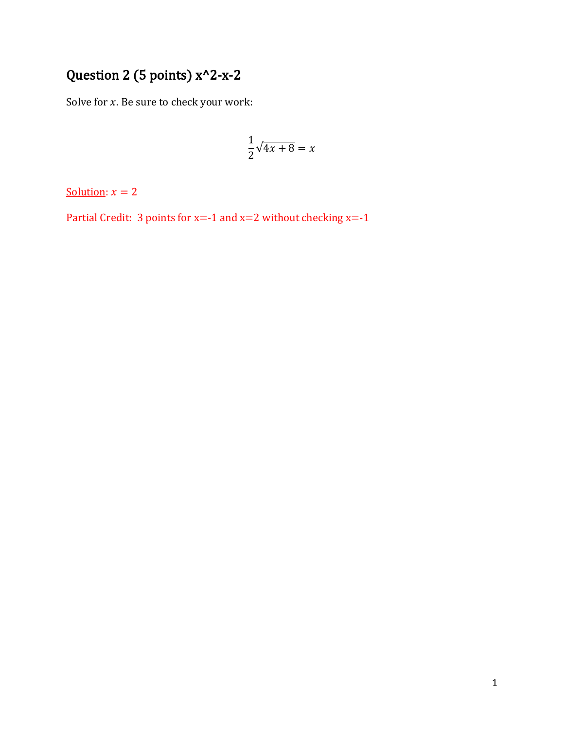# Question 2 (5 points) x^2-x-2

Solve for  $x$ . Be sure to check your work:

$$
\frac{1}{2}\sqrt{4x+8} = x
$$

Solution:  $x = 2$ 

Partial Credit: 3 points for  $x=-1$  and  $x=2$  without checking  $x=-1$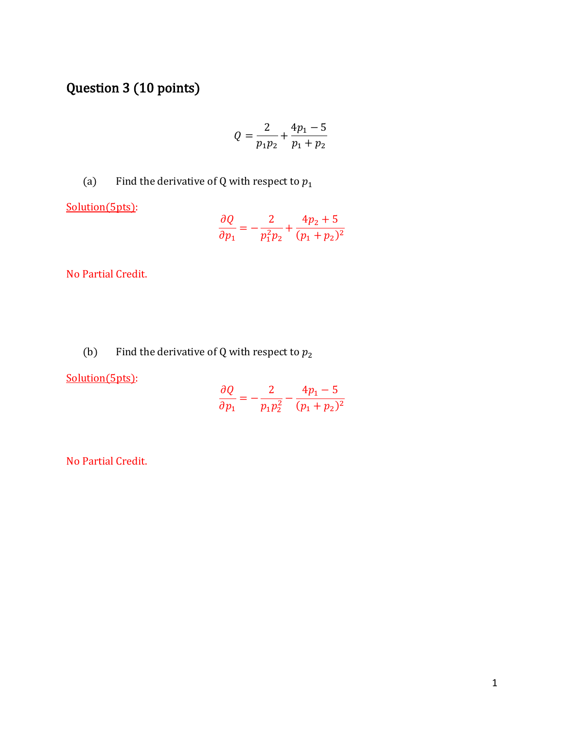# Question 3 (10 points)

$$
Q = \frac{2}{p_1 p_2} + \frac{4p_1 - 5}{p_1 + p_2}
$$

(a) Find the derivative of Q with respect to  $p_1$ 

Solution(5pts):

$$
\frac{\partial Q}{\partial p_1} = -\frac{2}{p_1^2 p_2} + \frac{4p_2 + 5}{(p_1 + p_2)^2}
$$

No Partial Credit.

(b) Find the derivative of Q with respect to  $p_2$ 

Solution(5pts):

$$
\frac{\partial Q}{\partial p_1} = -\frac{2}{p_1 p_2^2} - \frac{4p_1 - 5}{(p_1 + p_2)^2}
$$

No Partial Credit.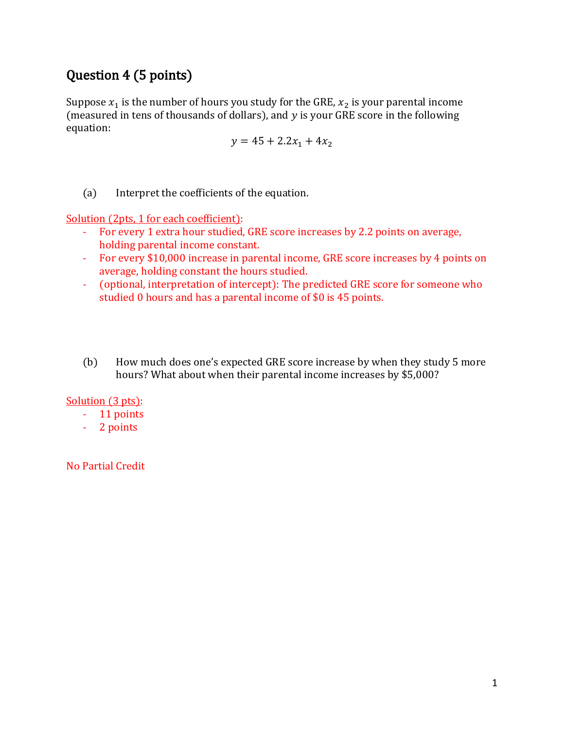## Question 4 (5 points)

Suppose  $x_1$  is the number of hours you study for the GRE,  $x_2$  is your parental income (measured in tens of thousands of dollars), and  $y$  is your GRE score in the following equation:

$$
y = 45 + 2.2x_1 + 4x_2
$$

(a) Interpret the coefficients of the equation.

Solution (2pts, 1 for each coefficient):

- For every 1 extra hour studied, GRE score increases by 2.2 points on average, holding parental income constant.
- For every \$10,000 increase in parental income, GRE score increases by 4 points on average, holding constant the hours studied.
- (optional, interpretation of intercept): The predicted GRE score for someone who studied 0 hours and has a parental income of \$0 is 45 points.
- (b) How much does one's expected GRE score increase by when they study 5 more hours? What about when their parental income increases by \$5,000?

Solution (3 pts):

- 11 points
- 2 points

No Partial Credit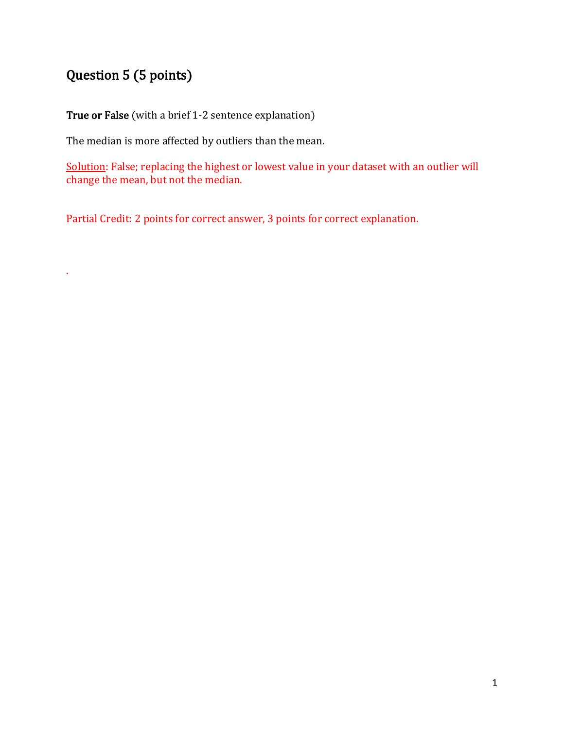# Question 5 (5 points)

.

True or False (with a brief 1-2 sentence explanation)

The median is more affected by outliers than the mean.

Solution: False; replacing the highest or lowest value in your dataset with an outlier will change the mean, but not the median.

Partial Credit: 2 points for correct answer, 3 points for correct explanation.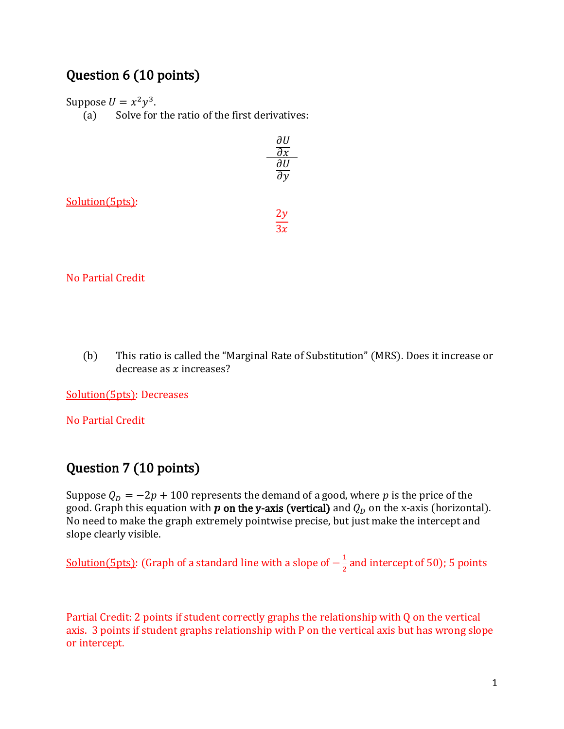### Question 6 (10 points)

Suppose  $U = x^2y^3$ .

(a) Solve for the ratio of the first derivatives:

|                 | дU<br>$\overline{\partial} x$<br>au |
|-----------------|-------------------------------------|
| Solution(5pts): | $rac{2y}{3x}$                       |

#### No Partial Credit

(b) This ratio is called the "Marginal Rate of Substitution" (MRS). Does it increase or decrease as  $x$  increases?

Solution(5pts): Decreases

No Partial Credit

### Question 7 (10 points)

Suppose  $Q_p = -2p + 100$  represents the demand of a good, where p is the price of the good. Graph this equation with **p** on the y-axis (vertical) and  $Q_D$  on the x-axis (horizontal). No need to make the graph extremely pointwise precise, but just make the intercept and slope clearly visible.

<u>Solution(5pts)</u>: (Graph of a standard line with a slope of  $-\frac{1}{3}$  $\frac{1}{2}$  and intercept of 50); 5 points

Partial Credit: 2 points if student correctly graphs the relationship with Q on the vertical axis. 3 points if student graphs relationship with P on the vertical axis but has wrong slope or intercept.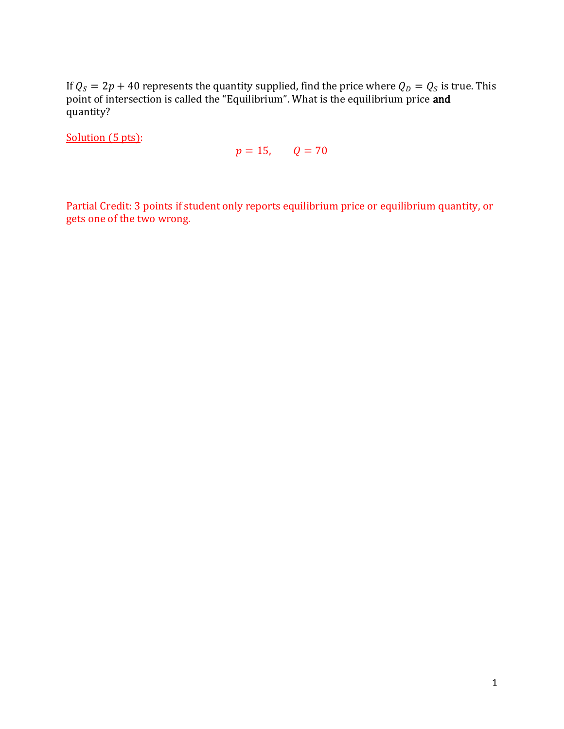If  $Q_S = 2p + 40$  represents the quantity supplied, find the price where  $Q_D = Q_S$  is true. This point of intersection is called the "Equilibrium". What is the equilibrium price **and** quantity?

Solution (5 pts):

$$
p=15, \qquad Q=70
$$

Partial Credit: 3 points if student only reports equilibrium price or equilibrium quantity, or gets one of the two wrong.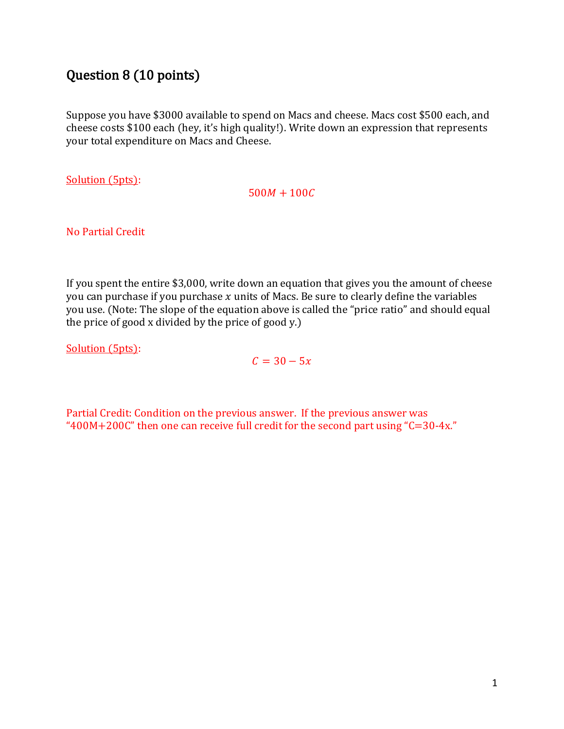### Question 8 (10 points)

Suppose you have \$3000 available to spend on Macs and cheese. Macs cost \$500 each, and cheese costs \$100 each (hey, it's high quality!). Write down an expression that represents your total expenditure on Macs and Cheese.

Solution (5pts):

 $500M + 100C$ 

No Partial Credit

If you spent the entire \$3,000, write down an equation that gives you the amount of cheese you can purchase if you purchase  $x$  units of Macs. Be sure to clearly define the variables you use. (Note: The slope of the equation above is called the "price ratio" and should equal the price of good x divided by the price of good y.)

Solution (5pts):

 $C = 30 - 5x$ 

Partial Credit: Condition on the previous answer. If the previous answer was " $400M+200C$ " then one can receive full credit for the second part using " $C=30-4x$ ."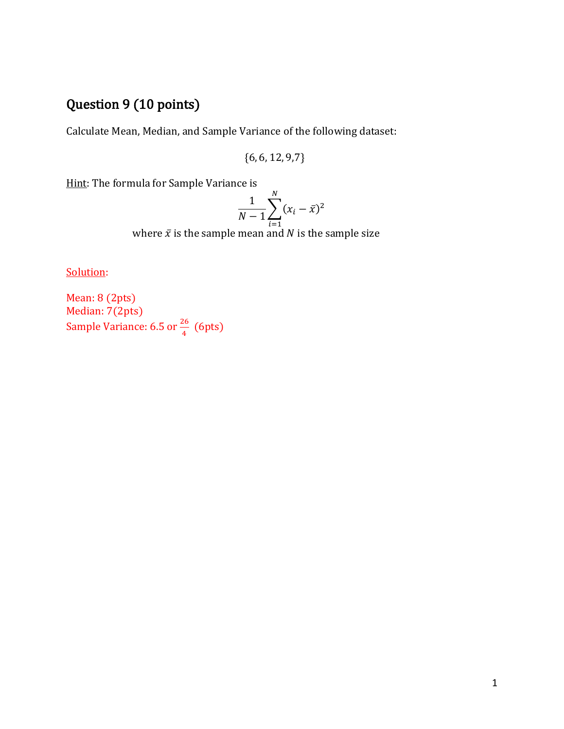# Question 9 (10 points)

Calculate Mean, Median, and Sample Variance of the following dataset:

{6, 6, 12, 9,7}

Hint: The formula for Sample Variance is

$$
\frac{1}{N-1} \sum_{i=1}^{N} (x_i - \bar{x})^2
$$

where  $\bar{x}$  is the sample mean and  $N$  is the sample size

Solution:

Mean: 8 (2pts) Median: 7(2pts) Sample Variance: 6.5 or  $\frac{26}{4}$  (6pts)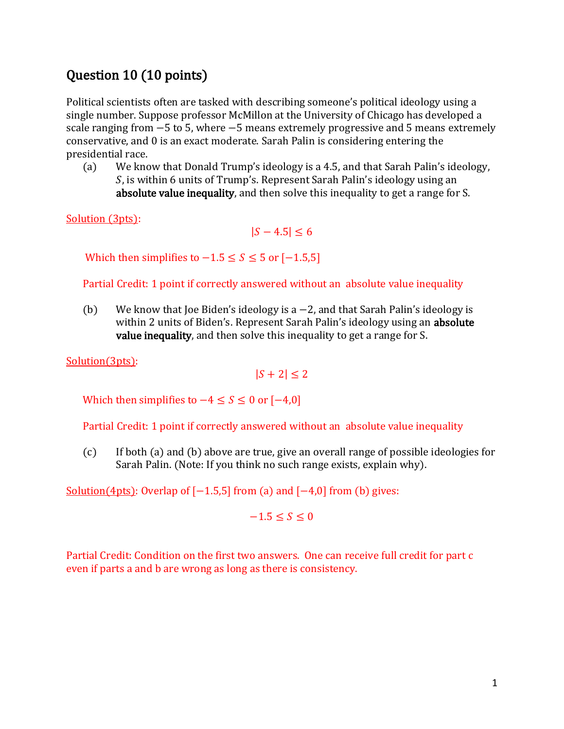### Question 10 (10 points)

Political scientists often are tasked with describing someone's political ideology using a single number. Suppose professor McMillon at the University of Chicago has developed a scale ranging from −5 to 5, where −5 means extremely progressive and 5 means extremely conservative, and 0 is an exact moderate. Sarah Palin is considering entering the presidential race.

(a) We know that Donald Trump's ideology is a 4.5, and that Sarah Palin's ideology, , is within 6 units of Trump's. Represent Sarah Palin's ideology using an absolute value inequality, and then solve this inequality to get a range for S.

Solution (3pts):

 $|S - 4.5| \le 6$ 

Which then simplifies to  $-1.5 \le S \le 5$  or  $[-1.5,5]$ 

Partial Credit: 1 point if correctly answered without an absolute value inequality

(b) We know that Joe Biden's ideology is a −2, and that Sarah Palin's ideology is within 2 units of Biden's. Represent Sarah Palin's ideology using an **absolute** value inequality, and then solve this inequality to get a range for S.

Solution(3pts):

 $|S + 2| \leq 2$ 

Which then simplifies to  $-4 \le S \le 0$  or  $[-4,0]$ 

Partial Credit: 1 point if correctly answered without an absolute value inequality

(c) If both (a) and (b) above are true, give an overall range of possible ideologies for Sarah Palin. (Note: If you think no such range exists, explain why).

Solution(4pts): Overlap of  $[-1.5,5]$  from (a) and  $[-4,0]$  from (b) gives:

 $-1.5 < S < 0$ 

Partial Credit: Condition on the first two answers. One can receive full credit for part c even if parts a and b are wrong as long as there is consistency.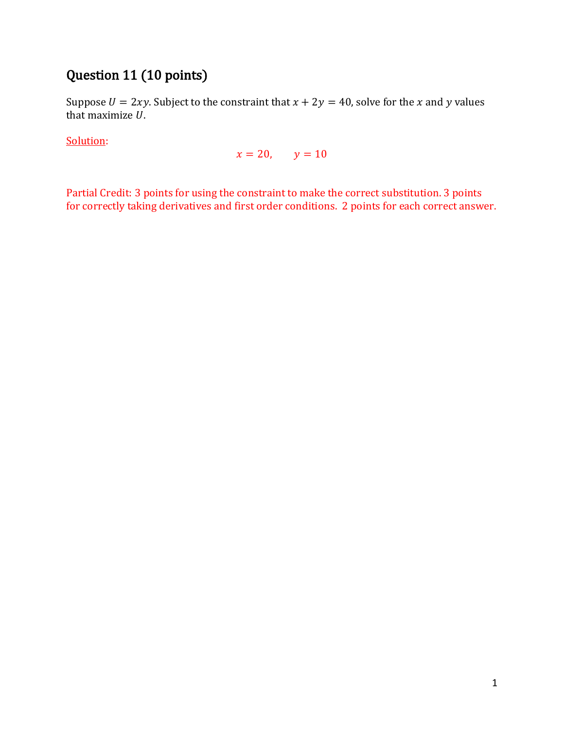## Question 11 (10 points)

Suppose  $U = 2xy$ . Subject to the constraint that  $x + 2y = 40$ , solve for the x and y values that maximize  $U$ .

Solution:

 $x = 20,$   $y = 10$ 

Partial Credit: 3 points for using the constraint to make the correct substitution. 3 points for correctly taking derivatives and first order conditions. 2 points for each correct answer.